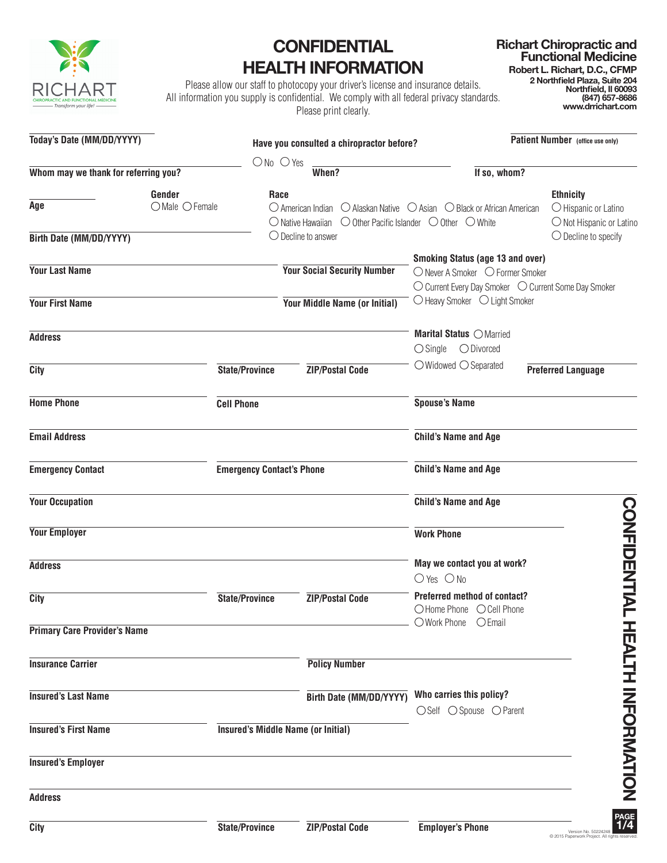

## **CONFIDENTIAL HEALTH INFORMATION**

Please allow our staff to photocopy your driver's license and insurance details. All information you supply is confidential. We comply with all federal privacy standards. Please print clearly.

**www.drrichart.com**

| Today's Date (MM/DD/YYYY)            |                                  | Have you consulted a chiropractor before?                                                                                    |                                                                                                                                     | Patient Number (office use only)                                     |  |  |  |
|--------------------------------------|----------------------------------|------------------------------------------------------------------------------------------------------------------------------|-------------------------------------------------------------------------------------------------------------------------------------|----------------------------------------------------------------------|--|--|--|
|                                      | $ONo$ $O$ Yes                    |                                                                                                                              |                                                                                                                                     |                                                                      |  |  |  |
| Whom may we thank for referring you? |                                  | When?                                                                                                                        | If so, whom?                                                                                                                        |                                                                      |  |  |  |
| Gender<br>Age<br>$O$ Male $O$ Female | Race                             | $\bigcirc$ American Indian<br>$\bigcirc$ Native Hawaiian $\bigcirc$ Other Pacific Islander $\bigcirc$ Other $\bigcirc$ White | $\bigcirc$ Alaskan Native $\bigcirc$ Asian $\bigcirc$ Black or African American                                                     | <b>Ethnicity</b><br>O Hispanic or Latino<br>O Not Hispanic or Latino |  |  |  |
| Birth Date (MM/DD/YYYY)              |                                  | $\bigcirc$ Decline to answer                                                                                                 |                                                                                                                                     | $\bigcirc$ Decline to specify                                        |  |  |  |
| <b>Your Last Name</b>                |                                  | <b>Your Social Security Number</b>                                                                                           | <b>Smoking Status (age 13 and over)</b><br>○ Never A Smoker ○ Former Smoker<br>○ Current Every Day Smoker ○ Current Some Day Smoker |                                                                      |  |  |  |
| <b>Your First Name</b>               |                                  | Your Middle Name (or Initial)                                                                                                | ○ Heavy Smoker ○ Light Smoker                                                                                                       |                                                                      |  |  |  |
| <b>Address</b>                       |                                  |                                                                                                                              | Marital Status OMarried<br>$\bigcirc$ Single<br>$\bigcirc$ Divorced                                                                 |                                                                      |  |  |  |
| City                                 | <b>State/Province</b>            | <b>ZIP/Postal Code</b>                                                                                                       | $\bigcirc$ Widowed $\bigcirc$ Separated                                                                                             | <b>Preferred Language</b>                                            |  |  |  |
| <b>Home Phone</b>                    | <b>Cell Phone</b>                |                                                                                                                              | <b>Spouse's Name</b>                                                                                                                |                                                                      |  |  |  |
| <b>Email Address</b>                 |                                  |                                                                                                                              | <b>Child's Name and Age</b>                                                                                                         |                                                                      |  |  |  |
| <b>Emergency Contact</b>             | <b>Emergency Contact's Phone</b> |                                                                                                                              | <b>Child's Name and Age</b>                                                                                                         |                                                                      |  |  |  |
| <b>Your Occupation</b>               |                                  |                                                                                                                              | <b>Child's Name and Age</b>                                                                                                         |                                                                      |  |  |  |
| <b>Your Employer</b>                 |                                  |                                                                                                                              | <b>Work Phone</b>                                                                                                                   |                                                                      |  |  |  |
| <b>Address</b>                       |                                  |                                                                                                                              | May we contact you at work?                                                                                                         |                                                                      |  |  |  |
| <b>City</b>                          | <b>State/Province</b>            | <b>ZIP/Postal Code</b>                                                                                                       | $O$ Yes $O$ No<br>Preferred method of contact?<br>○Home Phone ○Cell Phone                                                           | <b>CONFIDENTIAL</b>                                                  |  |  |  |
| <b>Primary Care Provider's Name</b>  |                                  |                                                                                                                              | O Work Phone O Email                                                                                                                |                                                                      |  |  |  |
| <b>Insurance Carrier</b>             |                                  | <b>Policy Number</b>                                                                                                         |                                                                                                                                     |                                                                      |  |  |  |
| <b>Insured's Last Name</b>           |                                  | Birth Date (MM/DD/YYYY)                                                                                                      | Who carries this policy?<br>○Self ○ Spouse ○ Parent                                                                                 |                                                                      |  |  |  |
| <b>Insured's First Name</b>          |                                  | <b>Insured's Middle Name (or Initial)</b>                                                                                    |                                                                                                                                     |                                                                      |  |  |  |
| <b>Insured's Employer</b>            |                                  |                                                                                                                              |                                                                                                                                     | <b>HEALIH INFORMATION</b>                                            |  |  |  |
| <b>Address</b>                       |                                  |                                                                                                                              |                                                                                                                                     |                                                                      |  |  |  |
| City                                 | State/Province                   | <b>ZIP/Postal Code</b>                                                                                                       | <b>Employer's Phone</b>                                                                                                             | PAGE<br>1/4                                                          |  |  |  |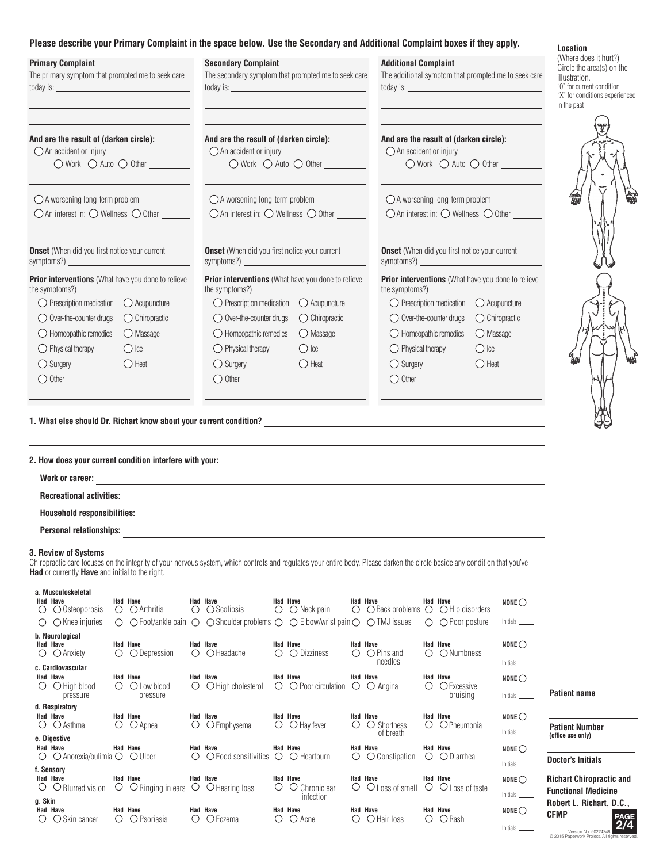## **Please describe your Primary Complaint in the space below. Use the Secondary and Additional Complaint boxes if they apply.**

| <b>Primary Complaint</b><br>The primary symptom that prompted me to seek care<br>today is: tool and the state of the state of the state of the state of the state of the state of the state of the state of the state of the state of the state of the state of the state of the state of the state of the stat |                         | r icasc ucsoribe your rimary complaint in the space below. Ose the occumary and Additional Complaint boxes if they apply.<br><b>Secondary Complaint</b><br>The secondary symptom that prompted me to seek care<br>today is: tool and the contract of the contract of the contract of the contract of the contract of the contract of the contract of the contract of the contract of the contract of the contract of the contract of the contrac |                                                         | <b>Additional Complaint</b><br>The additional symptom that prompted me to seek care                                            | Location<br>(Where does it hurt?)<br>Circle the area(s) on the<br>illustration.<br>"0" for current condition<br>"X" for conditions experienced<br>in the past |  |  |
|-----------------------------------------------------------------------------------------------------------------------------------------------------------------------------------------------------------------------------------------------------------------------------------------------------------------|-------------------------|--------------------------------------------------------------------------------------------------------------------------------------------------------------------------------------------------------------------------------------------------------------------------------------------------------------------------------------------------------------------------------------------------------------------------------------------------|---------------------------------------------------------|--------------------------------------------------------------------------------------------------------------------------------|---------------------------------------------------------------------------------------------------------------------------------------------------------------|--|--|
| And are the result of (darken circle):<br>$\bigcirc$ An accident or injury<br>$\bigcirc$ Work $\bigcirc$ Auto $\bigcirc$ Other                                                                                                                                                                                  |                         | And are the result of (darken circle):<br>$\bigcirc$ An accident or injury                                                                                                                                                                                                                                                                                                                                                                       | $\bigcirc$ Work $\bigcirc$ Auto $\bigcirc$ Other $\_\_$ | And are the result of (darken circle):<br>$\bigcirc$ An accident or injury<br>$\bigcirc$ Work $\bigcirc$ Auto $\bigcirc$ Other |                                                                                                                                                               |  |  |
| $\bigcirc$ A worsening long-term problem<br>$\bigcirc$ An interest in: $\bigcirc$ Wellness $\bigcirc$ Other                                                                                                                                                                                                     |                         | ○ A worsening long-term problem<br>$\bigcirc$ An interest in: $\bigcirc$ Wellness $\bigcirc$ Other                                                                                                                                                                                                                                                                                                                                               |                                                         | ○ A worsening long-term problem<br>$\bigcirc$ An interest in: $\bigcirc$ Wellness $\bigcirc$ Other                             |                                                                                                                                                               |  |  |
| <b>Onset</b> (When did you first notice your current<br><u> 1990 - Johann Barbara, martx</u><br>symptoms?) _                                                                                                                                                                                                    |                         | <b>Onset</b> (When did you first notice your current<br>symptoms?) $\qquad \qquad$                                                                                                                                                                                                                                                                                                                                                               |                                                         | <b>Onset</b> (When did you first notice your current<br>symptoms?) $\qquad \qquad$                                             |                                                                                                                                                               |  |  |
| <b>Prior interventions</b> (What have you done to relieve<br>the symptoms?)                                                                                                                                                                                                                                     |                         | <b>Prior interventions</b> (What have you done to relieve<br>the symptoms?)                                                                                                                                                                                                                                                                                                                                                                      |                                                         | <b>Prior interventions</b> (What have you done to relieve<br>the symptoms?)                                                    |                                                                                                                                                               |  |  |
| $\bigcirc$ Prescription medication $\bigcirc$ Acupuncture                                                                                                                                                                                                                                                       |                         | $\bigcirc$ Prescription medication $\bigcirc$ Acupuncture                                                                                                                                                                                                                                                                                                                                                                                        |                                                         | $\bigcirc$ Prescription medication $\bigcirc$ Acupuncture                                                                      |                                                                                                                                                               |  |  |
| $\bigcirc$ Over-the-counter drugs                                                                                                                                                                                                                                                                               | $\bigcirc$ Chiropractic | $\bigcirc$ Over-the-counter drugs                                                                                                                                                                                                                                                                                                                                                                                                                | $\bigcirc$ Chiropractic                                 | $\bigcirc$ Over-the-counter drugs                                                                                              | ◯ Chiropractic                                                                                                                                                |  |  |
| $\bigcirc$ Homeopathic remedies                                                                                                                                                                                                                                                                                 | O Massage               | $\bigcirc$ Homeopathic remedies                                                                                                                                                                                                                                                                                                                                                                                                                  | O Massage                                               | $\bigcirc$ Homeopathic remedies                                                                                                | $\bigcirc$ Massage                                                                                                                                            |  |  |
| $\bigcirc$ Physical therapy                                                                                                                                                                                                                                                                                     | $\bigcirc$ Ice          | $\bigcirc$ Physical therapy                                                                                                                                                                                                                                                                                                                                                                                                                      | $\bigcirc$ lce                                          | $\bigcirc$ Physical therapy                                                                                                    | $\bigcirc$ Ice                                                                                                                                                |  |  |
| $\bigcirc$ Surgery                                                                                                                                                                                                                                                                                              | $\bigcirc$ Heat         | $\bigcirc$ Surgery                                                                                                                                                                                                                                                                                                                                                                                                                               | $\bigcirc$ Heat                                         | $\bigcirc$ Surgery                                                                                                             | $\bigcirc$ Heat                                                                                                                                               |  |  |
| $\bigcirc$ Other $\qquad \qquad$                                                                                                                                                                                                                                                                                |                         |                                                                                                                                                                                                                                                                                                                                                                                                                                                  |                                                         | $\bigcirc$ Other                                                                                                               |                                                                                                                                                               |  |  |
|                                                                                                                                                                                                                                                                                                                 |                         |                                                                                                                                                                                                                                                                                                                                                                                                                                                  |                                                         |                                                                                                                                |                                                                                                                                                               |  |  |
| 2. How does your current condition interfere with your:                                                                                                                                                                                                                                                         |                         |                                                                                                                                                                                                                                                                                                                                                                                                                                                  |                                                         |                                                                                                                                |                                                                                                                                                               |  |  |
| Work or career:                                                                                                                                                                                                                                                                                                 |                         |                                                                                                                                                                                                                                                                                                                                                                                                                                                  |                                                         |                                                                                                                                |                                                                                                                                                               |  |  |
| <b>Recreational activities:</b>                                                                                                                                                                                                                                                                                 |                         |                                                                                                                                                                                                                                                                                                                                                                                                                                                  |                                                         |                                                                                                                                |                                                                                                                                                               |  |  |
|                                                                                                                                                                                                                                                                                                                 |                         |                                                                                                                                                                                                                                                                                                                                                                                                                                                  |                                                         |                                                                                                                                |                                                                                                                                                               |  |  |
|                                                                                                                                                                                                                                                                                                                 |                         |                                                                                                                                                                                                                                                                                                                                                                                                                                                  |                                                         |                                                                                                                                |                                                                                                                                                               |  |  |
| 3. Review of Systems<br>Had or currently Have and initial to the right.                                                                                                                                                                                                                                         |                         | Chiropractic care focuses on the integrity of your nervous system, which controls and regulates your entire body. Please darken the circle beside any condition that you've                                                                                                                                                                                                                                                                      |                                                         |                                                                                                                                |                                                                                                                                                               |  |  |
| a. Musculoskeletal<br><b>Had Have</b>                                                                                                                                                                                                                                                                           | <b>Had Have</b>         | <b>Had Have</b><br><b>Had Have</b>                                                                                                                                                                                                                                                                                                                                                                                                               | <b>Had Have</b>                                         | <b>Had Have</b>                                                                                                                | $NONE$                                                                                                                                                        |  |  |

| ()                                                             | $\bigcirc$ Osteoporosis                                                             | $\left(\right)$        | $\bigcirc$ Arthritis                                | $\left(\right)$  | $\bigcirc$ Scoliosis                                                                                                                       | O                | $\bigcirc$ Neck pain                             | $\bigcirc$ | $\bigcirc$ Back problems $\bigcirc$               |                 | $\bigcirc$ Hip disorders                    |                             |
|----------------------------------------------------------------|-------------------------------------------------------------------------------------|------------------------|-----------------------------------------------------|------------------|--------------------------------------------------------------------------------------------------------------------------------------------|------------------|--------------------------------------------------|------------|---------------------------------------------------|-----------------|---------------------------------------------|-----------------------------|
| ( )                                                            | $\bigcirc$ Knee injuries                                                            | ( )                    |                                                     |                  | $\bigcirc$ Foot/ankle pain $\bigcirc$ $\bigcirc$ Shoulder problems $\bigcirc$ $\bigcirc$ Elbow/wrist pain $\bigcirc$ $\bigcirc$ TMJ issues |                  |                                                  |            |                                                   | $\bigcirc$      | $\bigcap$ Poor posture                      | Initials                    |
| $\circ$                                                        | b. Neurological<br><b>Had Have</b><br>$\bigcirc$ Anxiety<br>c. Cardiovascular       | ( )                    | <b>Had Have</b><br>◯ Depression                     | $\left( \right)$ | Had Have<br>$\bigcirc$ Headache                                                                                                            | $\left( \right)$ | Had Have<br>◯ Dizziness                          | ()         | <b>Had Have</b><br>$\bigcirc$ Pins and<br>needles | ()              | Had Have<br>O Numbness                      | NONE $\bigcirc$<br>Initials |
|                                                                | <b>Had Have</b><br>$\bigcirc$ High blood<br>pressure                                | ( )                    | <b>Had Have</b><br>$\bigcirc$ Low blood<br>pressure | $\left( \right)$ | Had Have<br>$\bigcirc$ High cholesterol                                                                                                    | $\left( \right)$ | <b>Had Have</b><br>$\bigcirc$ Poor circulation   | ()         | <b>Had Have</b><br>Angina<br>$\left(\right)$      |                 | <b>Had Have</b><br>○ Excessive<br>bruising  | NONE $\bigcirc$<br>Initials |
| $\left( \right)$                                               | d. Respiratory<br><b>Had Have</b><br>$\bigcirc$ Asthma                              | $\left( \right)$       | <b>Had Have</b><br>$\bigcirc$ Apnea                 | Ő                | <b>Had Have</b><br>$\bigcirc$ Emphysema                                                                                                    | $\left( \right)$ | <b>Had Have</b><br>$\bigcirc$ Hay fever          | $($ )      | <b>Had Have</b><br>Shortness<br>O<br>of breath    | $\left(\right)$ | <b>Had Have</b><br>O Pneumonia              | $NONE$<br>Initials          |
| $\left(\right)$                                                | e. Digestive<br>Had Have<br>$\bigcirc$ Anorexia/bulimia $\bigcirc$ $\bigcirc$ Ulcer |                        | Had Have                                            | $\left( \right)$ | Had Have<br>$\bigcirc$ Food sensitivities                                                                                                  | $\circ$          | <b>Had Have</b><br>$\bigcirc$ Heartburn          | O          | <b>Had Have</b><br>$\bigcirc$ Constipation        | Ő               | <b>Had Have</b><br>$\bigcirc$ Diarrhea      | $NONE$<br>Initials          |
| O                                                              | f. Sensory<br><b>Had Have</b><br>$\bigcirc$ Blurred vision                          | $\circ$                | <b>Had Have</b><br>$\circ$ Ringing in ears          | $\circ$          | <b>Had Have</b><br>$\bigcirc$ Hearing loss                                                                                                 | (                | Had Have<br>$\ldots$<br>Chronic ear<br>infection | $\cup$     | <b>Had Have</b><br>$\bigcirc$ Loss of smell       | Ő               | <b>Had Have</b><br>$\bigcirc$ Loss of taste | NONE $\bigcirc$<br>Initials |
| g. Skin<br>$\left( \begin{array}{c} \cdot \end{array} \right)$ | <b>Had Have</b><br>Skin cancer                                                      | $\left( \quad \right)$ | Had Have<br>$\bigcirc$ Psoriasis                    | ()               | Had Have<br>Eczema<br>()                                                                                                                   |                  | <b>Had Have</b><br>Acne<br>( )                   | ()         | Had Have<br>O Hair loss                           | ()              | Had Have<br>$\bigcirc$ Rash                 | $NONE$<br>Initials          |

## **2/4 PAGE Doctor's Initials Patient name Patient Number (office use only) Richart Chiropractic and Functional Medicine Robert L. Richart, D.C., CFMP**

© 2015 Paperwork Project. All rights reserved. Version No. 50224248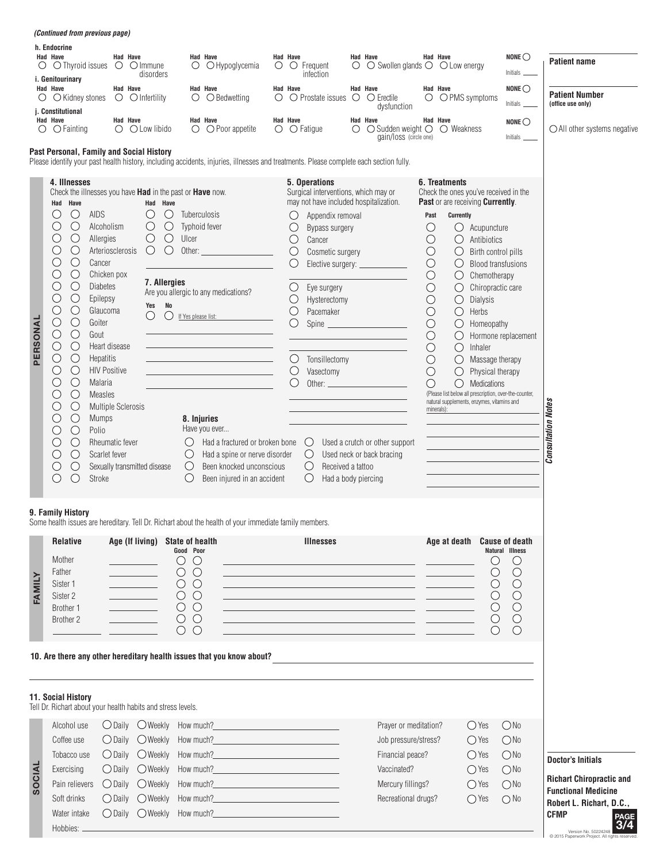|               | <i>(Continued from previous page)</i>                                                                                                                                                                                                                                                                                                                                                                                                                                                                                                                                                                                                                                                                                                                                                                                                     |                                                                                                  |                                                                                                                                                                                                                                           |                                                                                                                                                                                                                                                                                         |          |                                                                                                           |                                                                                                                                                                                                                                                                                                                                                                                                                     |   |                                                                                                                                                                                                                                                                                                                                                                             |                                                                                                                                                                                                          |                                                                                                                                                                                                                                                                                                                                                                                                                          |                                                                                                                                                                                                                         |                                                                                                                          |                                                                                                                                                                                                                             |
|---------------|-------------------------------------------------------------------------------------------------------------------------------------------------------------------------------------------------------------------------------------------------------------------------------------------------------------------------------------------------------------------------------------------------------------------------------------------------------------------------------------------------------------------------------------------------------------------------------------------------------------------------------------------------------------------------------------------------------------------------------------------------------------------------------------------------------------------------------------------|--------------------------------------------------------------------------------------------------|-------------------------------------------------------------------------------------------------------------------------------------------------------------------------------------------------------------------------------------------|-----------------------------------------------------------------------------------------------------------------------------------------------------------------------------------------------------------------------------------------------------------------------------------------|----------|-----------------------------------------------------------------------------------------------------------|---------------------------------------------------------------------------------------------------------------------------------------------------------------------------------------------------------------------------------------------------------------------------------------------------------------------------------------------------------------------------------------------------------------------|---|-----------------------------------------------------------------------------------------------------------------------------------------------------------------------------------------------------------------------------------------------------------------------------------------------------------------------------------------------------------------------------|----------------------------------------------------------------------------------------------------------------------------------------------------------------------------------------------------------|--------------------------------------------------------------------------------------------------------------------------------------------------------------------------------------------------------------------------------------------------------------------------------------------------------------------------------------------------------------------------------------------------------------------------|-------------------------------------------------------------------------------------------------------------------------------------------------------------------------------------------------------------------------|--------------------------------------------------------------------------------------------------------------------------|-----------------------------------------------------------------------------------------------------------------------------------------------------------------------------------------------------------------------------|
|               | h. Endocrine<br>Had Have<br>$\circ$ $\circ$ Thyroid issues                                                                                                                                                                                                                                                                                                                                                                                                                                                                                                                                                                                                                                                                                                                                                                                | Had Have<br>$\bigcirc$ $\bigcirc$ Immune                                                         | $\circ$<br>disorders                                                                                                                                                                                                                      | <b>Had Have</b><br>$\bigcirc$ Hypoglycemia                                                                                                                                                                                                                                              | Had Have |                                                                                                           | $\circ$ $\circ$ Frequent<br>infection                                                                                                                                                                                                                                                                                                                                                                               | О | Had Have<br>$\bigcirc$ Swollen glands $\bigcirc$ $\bigcirc$ Low energy                                                                                                                                                                                                                                                                                                      |                                                                                                                                                                                                          | Had Have                                                                                                                                                                                                                                                                                                                                                                                                                 |                                                                                                                                                                                                                         | NONE $\bigcirc$<br>Initials                                                                                              | <b>Patient name</b>                                                                                                                                                                                                         |
| O             | i. Genitourinary<br>Had Have<br>$\bigcirc$ Kidney stones<br>j. Constitutional                                                                                                                                                                                                                                                                                                                                                                                                                                                                                                                                                                                                                                                                                                                                                             | Had Have<br>$\circ$ $\circ$ Infertility                                                          | O                                                                                                                                                                                                                                         | Had Have<br>$\bigcirc$ Bedwetting                                                                                                                                                                                                                                                       | Had Have |                                                                                                           | $\circ$ $\circ$ Prostate issues $\circ$                                                                                                                                                                                                                                                                                                                                                                             |   | Had Have<br>$\circ$ Erectile<br>dysfunction                                                                                                                                                                                                                                                                                                                                 |                                                                                                                                                                                                          | Had Have<br>$\bigcirc$ $\bigcirc$ PMS symptoms                                                                                                                                                                                                                                                                                                                                                                           |                                                                                                                                                                                                                         | NONE $\bigcirc$<br>Initials                                                                                              | <b>Patient Number</b><br>(office use only)                                                                                                                                                                                  |
| $\circ$       | Had Have<br>$\bigcirc$ Fainting                                                                                                                                                                                                                                                                                                                                                                                                                                                                                                                                                                                                                                                                                                                                                                                                           | Had Have<br>$\bigcirc$ $\bigcirc$ Low libido                                                     |                                                                                                                                                                                                                                           | Had Have<br>$\bigcirc$ $\bigcirc$ Poor appetite                                                                                                                                                                                                                                         | Had Have |                                                                                                           | $\circ$ $\circ$ Fatigue                                                                                                                                                                                                                                                                                                                                                                                             | O | Had Have<br>$\bigcirc$ Sudden weight $\bigcirc$<br>gain/loss (circle one)                                                                                                                                                                                                                                                                                                   |                                                                                                                                                                                                          | Had Have<br>◯ Weakness                                                                                                                                                                                                                                                                                                                                                                                                   |                                                                                                                                                                                                                         | NONE $\bigcirc$                                                                                                          | $\bigcirc$ All other systems negative                                                                                                                                                                                       |
|               | Past Personal, Family and Social History                                                                                                                                                                                                                                                                                                                                                                                                                                                                                                                                                                                                                                                                                                                                                                                                  |                                                                                                  |                                                                                                                                                                                                                                           | Please identify your past health history, including accidents, injuries, illnesses and treatments. Please complete each section fully.                                                                                                                                                  |          |                                                                                                           |                                                                                                                                                                                                                                                                                                                                                                                                                     |   |                                                                                                                                                                                                                                                                                                                                                                             |                                                                                                                                                                                                          |                                                                                                                                                                                                                                                                                                                                                                                                                          |                                                                                                                                                                                                                         |                                                                                                                          |                                                                                                                                                                                                                             |
| PERSONAL      | 4. Illnesses<br>Check the illnesses you have Had in the past or Have now.<br>Had Have<br>$\bigcirc$<br>AIDS<br>U<br>$\bigcirc$<br>( )<br>Alcoholism<br>$\bigcirc$<br>C<br>Allergies<br>$\bigcirc$<br>O<br>$\bigcirc$<br>O<br>Cancer<br>$\bigcirc$<br>O<br>Chicken pox<br>$\bigcirc$<br>O<br><b>Diabetes</b><br>$\bigcirc$<br>O<br>Epilepsy<br>O<br>$\bigcirc$<br>Glaucoma<br>$\bigcirc$<br>$\bigcirc$<br>Goiter<br>$\bigcirc$<br>$\bigcirc$<br>Gout<br>$\bigcirc$<br>$\bigcirc$<br>Heart disease<br>$\bigcirc$<br>О<br>Hepatitis<br>$\bigcirc$<br>О<br><b>HIV Positive</b><br>$\bigcirc$<br>$\bigcirc$<br>Malaria<br>$\bigcirc$<br>O<br><b>Measles</b><br>$\bigcirc$<br>O<br>$\bigcirc$<br><b>Mumps</b><br>$\bigcirc$<br>Polio<br>$\bigcirc$<br>O<br>$\bigcirc$<br>Scarlet fever<br>$\bigcirc$<br>O<br>$\bigcirc$<br>$\bigcirc$<br>Stroke | Arteriosclerosis<br><b>Multiple Sclerosis</b><br>Rheumatic fever<br>Sexually transmitted disease | Had Have<br>$\bigcirc$<br>O<br>$\bigcirc$<br>$\bigcirc$<br>$\bigcirc$<br>$\bigcirc$<br>Ulcer<br>$\bigcirc$<br>O<br>Other:<br>7. Allergies<br>No<br>Yes<br>O<br>( )<br>If Yes please list:<br>$\bigcirc$<br>$\cup$<br>$\bigcirc$           | Tuberculosis<br>Typhoid fever<br>Are you allergic to any medications?<br>8. Injuries<br>Have you ever<br>Had a fractured or broken bone<br>Had a spine or nerve disorder<br>Been knocked unconscious<br>Been injured in an accident                                                     |          | O<br>O<br>$\bigcirc$<br>$\bigcirc$<br>O<br>O<br>$\bigcirc$<br>$\bigcirc$<br>O<br>$\bigcirc$<br>$\bigcirc$ | 5. Operations<br>Surgical interventions, which may or<br>may not have included hospitalization.<br>Appendix removal<br>Bypass surgery<br>Cancer<br>Cosmetic surgery<br>Elective surgery: _________<br>Eye surgery<br>Hysterectomy<br>Pacemaker<br>Spine<br>Tonsillectomy<br>Vasectomy<br>Other: $\qquad \qquad$<br>$\bigcirc$<br>$\bigcirc$<br>$\bigcirc$<br>Received a tattoo<br>$\bigcirc$<br>Had a body piercing |   | <u> 1980 - Johann Barbara, martxa alemaniar a</u><br>Used a crutch or other support<br>Used neck or back bracing                                                                                                                                                                                                                                                            | Past<br>$\bigcirc$<br>$\bigcirc$<br>$\bigcirc$<br>$\bigcirc$<br>$\bigcirc$<br>$\bigcirc$<br>$\bigcirc$<br>$\bigcirc$<br>$\bigcirc$<br>$\bigcirc$<br>$\bigcirc$<br>$\bigcirc$<br>$\bigcirc$<br>$\bigcirc$ | 6. Treatments<br>Check the ones you've received in the<br>Past or are receiving Currently.<br>Currently<br>Ő<br>$\bigcirc$<br>$\bigcirc$<br>$\bigcirc$<br>$\bigcirc$<br>$\bigcirc$<br>$\bigcirc$<br>$\bigcirc$<br>$\bigcirc$<br>$\bigcirc$<br>$\bigcirc$<br>$\bigcirc$<br>$\bigcirc$<br>$\bigcirc$<br>(Please list below all prescription, over-the-counter,<br>natural supplements, enzymes, vitamins and<br>minerals): | Acupuncture<br>Antibiotics<br>Birth control pills<br><b>Blood transfusions</b><br>Chemotherapy<br>Chiropractic care<br>Dialysis<br>Herbs<br>Homeopathy<br>Inhaler<br>Massage therapy<br>Physical therapy<br>Medications | Hormone replacement                                                                                                      | <b>Consultation Notes</b>                                                                                                                                                                                                   |
|               | 9. Family History                                                                                                                                                                                                                                                                                                                                                                                                                                                                                                                                                                                                                                                                                                                                                                                                                         |                                                                                                  |                                                                                                                                                                                                                                           | Some health issues are hereditary. Tell Dr. Richart about the health of your immediate family members.                                                                                                                                                                                  |          |                                                                                                           |                                                                                                                                                                                                                                                                                                                                                                                                                     |   |                                                                                                                                                                                                                                                                                                                                                                             |                                                                                                                                                                                                          |                                                                                                                                                                                                                                                                                                                                                                                                                          |                                                                                                                                                                                                                         |                                                                                                                          |                                                                                                                                                                                                                             |
| FAMILY        | <b>Relative</b><br>Mother<br>Father<br>Sister 1<br>Sister 2<br>Brother 1<br>Brother 2                                                                                                                                                                                                                                                                                                                                                                                                                                                                                                                                                                                                                                                                                                                                                     | <b>Contract Contract</b><br><u> 1990 - Jan Jawa</u><br>$\overline{\phantom{a}}$                  | Age (If living) State of health<br>Good Poor<br>$\bigcirc$<br>$\cup$<br>$\circ$<br>$\circ$<br>$\circlearrowright$<br>$\cup$<br>$O$ $O$<br>$\circ$<br>$\circlearrowright$<br>$\circ$ $\circ$<br>$\circlearrowright$<br>$\circlearrowright$ |                                                                                                                                                                                                                                                                                         |          |                                                                                                           | <b>Illnesses</b>                                                                                                                                                                                                                                                                                                                                                                                                    |   | <u> 1989 - Johann John Stone, markin amerikan bisa di sebagai personal dan bagi personal dan bagi personal dan b</u><br><u> 1989 - Johann Barn, mars an t-Amerikaansk politiker (</u><br><u> 1989 - Johann Barn, amerikansk politiker (d. 1989)</u><br><u> 1989 - Johann Stein, marwolaethau a bhann an t-Amhair an t-Amhair an t-Amhair an t-Amhair an t-Amhair an t-A</u> |                                                                                                                                                                                                          | Age at death                                                                                                                                                                                                                                                                                                                                                                                                             | $\bigcirc$<br>$\bigcirc$<br>O<br>$\bigcirc$<br>$\bigcirc$<br>O                                                                                                                                                          | <b>Cause of death</b><br>Natural Illness<br>$\cup$<br>$\bigcirc$<br>$\bigcirc$<br>$\bigcirc$<br>$\bigcirc$<br>$\bigcirc$ |                                                                                                                                                                                                                             |
|               | 11. Social History                                                                                                                                                                                                                                                                                                                                                                                                                                                                                                                                                                                                                                                                                                                                                                                                                        |                                                                                                  |                                                                                                                                                                                                                                           | 10. Are there any other hereditary health issues that you know about?                                                                                                                                                                                                                   |          |                                                                                                           |                                                                                                                                                                                                                                                                                                                                                                                                                     |   |                                                                                                                                                                                                                                                                                                                                                                             |                                                                                                                                                                                                          |                                                                                                                                                                                                                                                                                                                                                                                                                          |                                                                                                                                                                                                                         |                                                                                                                          |                                                                                                                                                                                                                             |
| <b>SOCIAL</b> | Tell Dr. Richart about your health habits and stress levels.<br>Alcohol use<br>Coffee use<br>Tobacco use<br>Exercising<br>Pain relievers<br>Soft drinks<br>Water intake<br>Hobbies: .                                                                                                                                                                                                                                                                                                                                                                                                                                                                                                                                                                                                                                                     | $\bigcirc$ Daily<br>$\bigcirc$ Daily $\bigcirc$ Weekly<br>$\bigcirc$ Daily                       | $\bigcirc$ Daily $\bigcirc$ Weekly How much?<br>$\bigcirc$ Daily $\bigcirc$ Weekly How much?<br>○ Daily ○ Weekly How much?<br>$\bigcirc$ Weekly<br>How much?<br>How much?<br>$\bigcirc$ Weekly<br>How much?<br>◯ Daily ◯ Weekly How much? | <u> 1989 - Johann Barn, mars eta biztanleria (h. 1989).</u><br>the control of the control of the control of<br><u> 1990 - Johann Barnett, fransk politiker (</u><br><u> 1989 - Johann Barn, mars eta bainar eta baina eta baina eta baina eta baina eta baina eta baina eta baina e</u> |          |                                                                                                           |                                                                                                                                                                                                                                                                                                                                                                                                                     |   | Prayer or meditation?<br>Job pressure/stress?<br>Financial peace?<br>Vaccinated?<br>Mercury fillings?<br>Recreational drugs?                                                                                                                                                                                                                                                |                                                                                                                                                                                                          |                                                                                                                                                                                                                                                                                                                                                                                                                          | $\bigcirc$ Yes<br>$\bigcirc$ Yes<br>$\bigcirc$ Yes<br>$\bigcirc$ Yes<br>$\bigcirc$ Yes<br>$\bigcirc$ Yes                                                                                                                | ONo<br>ONo<br>ONO<br>ONO<br>ONo<br>$\bigcirc$ No                                                                         | <b>Doctor's Initials</b><br><b>Richart Chiropractic and</b><br><b>Functional Medicine</b><br>Robert L. Richart, D.C.,<br><b>CFMP</b><br>PAGE<br>3/4<br>Version No. 50224248<br>C 2015 Paperwork Project. All rights reserve |